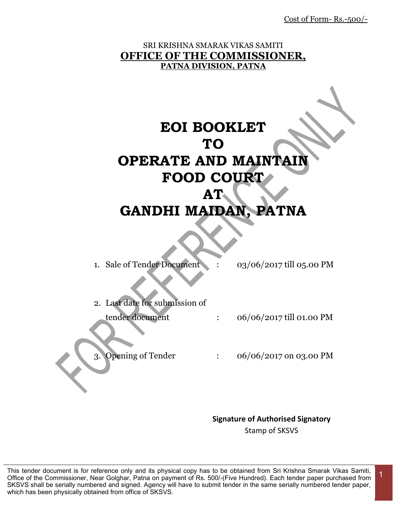Cost of Form- Rs.-500/-

#### SRI KRISHNA SMARAK VIKAS SAMITI **OFFICE OF THE COMMISSIONER, PATNA DIVISION, PATNA**

# **EOI BOOKLET TO OPERATE AND MAINTAIN FOOD COURT AT GANDHI MAIDAN, PATNA**

- 1. Sale of Tender Document : 03/06/2017 till 05.00 PM
- 2. Last date for submission of tender document : 06/06/2017 till 01.00 PM
- 
- 3. Opening of Tender : 06/06/2017 on 03.00 PM

**Signature of Authorised Signatory** Stamp of SKSVS

1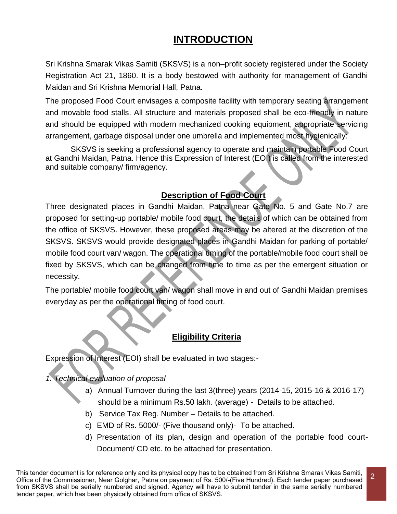# **INTRODUCTION**

Sri Krishna Smarak Vikas Samiti (SKSVS) is a non–profit society registered under the Society Registration Act 21, 1860. It is a body bestowed with authority for management of Gandhi Maidan and Sri Krishna Memorial Hall, Patna.

The proposed Food Court envisages a composite facility with temporary seating arrangement and movable food stalls. All structure and materials proposed shall be eco-friendly in nature and should be equipped with modern mechanized cooking equipment, appropriate servicing arrangement, garbage disposal under one umbrella and implemented most hygienically:

SKSVS is seeking a professional agency to operate and maintain portable Food Court at Gandhi Maidan, Patna. Hence this Expression of Interest (EOI) is called from the interested and suitable company/ firm/agency.

### **Description of Food Court**

Three designated places in Gandhi Maidan, Patna near Gate No. 5 and Gate No.7 are proposed for setting-up portable/ mobile food court, the details of which can be obtained from the office of SKSVS. However, these proposed areas may be altered at the discretion of the SKSVS. SKSVS would provide designated places in Gandhi Maidan for parking of portable/ mobile food court van/ wagon. The operational timing of the portable/mobile food court shall be fixed by SKSVS, which can be changed from time to time as per the emergent situation or necessity.

The portable/ mobile food court van/ wagon shall move in and out of Gandhi Maidan premises everyday as per the operational timing of food court.

### **Eligibility Criteria**

Expression of Interest (EOI) shall be evaluated in two stages:-

*1. Technical evaluation of proposal* 

- a) Annual Turnover during the last 3(three) years (2014-15, 2015-16 & 2016-17) should be a minimum Rs.50 lakh. (average) - Details to be attached.
- b) Service Tax Reg. Number Details to be attached.
- c) EMD of Rs. 5000/- (Five thousand only)- To be attached.
- d) Presentation of its plan, design and operation of the portable food court-Document/ CD etc. to be attached for presentation.

This tender document is for reference only and its physical copy has to be obtained from Sri Krishna Smarak Vikas Samiti, Office of the Commissioner, Near Golghar, Patna on payment of Rs. 500/-(Five Hundred). Each tender paper purchased from SKSVS shall be serially numbered and signed. Agency will have to submit tender in the same serially numbered tender paper, which has been physically obtained from office of SKSVS.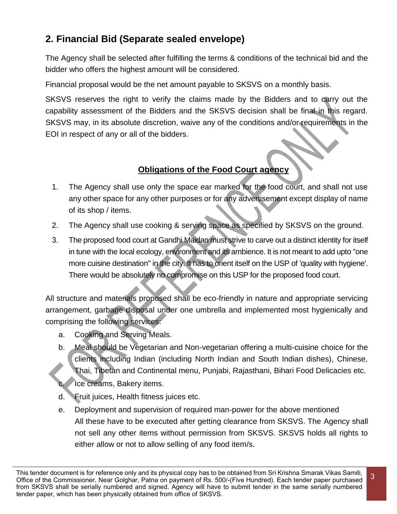## **2. Financial Bid (Separate sealed envelope)**

The Agency shall be selected after fulfilling the terms & conditions of the technical bid and the bidder who offers the highest amount will be considered.

Financial proposal would be the net amount payable to SKSVS on a monthly basis.

SKSVS reserves the right to verify the claims made by the Bidders and to carry out the capability assessment of the Bidders and the SKSVS decision shall be final in this regard. SKSVS may, in its absolute discretion, waive any of the conditions and/or requirements in the EOI in respect of any or all of the bidders.

### **Obligations of the Food Court agency**

- 1. The Agency shall use only the space ear marked for the food court, and shall not use any other space for any other purposes or for any advertisement except display of name of its shop / items.
- 2. The Agency shall use cooking & serving space as specified by SKSVS on the ground.
- 3. The proposed food court at Gandhi Maidan must strive to carve out a distinct identity for itself in tune with the local ecology, environment and its ambience. It is not meant to add upto "one more cuisine destination" in the city. It has to orient itself on the USP of 'quality with hygiene'. There would be absolutely no compromise on this USP for the proposed food court.

All structure and materials proposed shall be eco-friendly in nature and appropriate servicing arrangement, garbage disposal under one umbrella and implemented most hygienically and comprising the following services:

- a. Cooking and Serving Meals.
- b. Meal should be Vegetarian and Non-vegetarian offering a multi-cuisine choice for the clients including Indian (including North Indian and South Indian dishes), Chinese, Thai, Tibetan and Continental menu, Punjabi, Rajasthani, Bihari Food Delicacies etc. Ice creams, Bakery items.
- d. Fruit juices, Health fitness juices etc.
- e. Deployment and supervision of required man-power for the above mentioned All these have to be executed after getting clearance from SKSVS. The Agency shall not sell any other items without permission from SKSVS. SKSVS holds all rights to either allow or not to allow selling of any food item/s.

This tender document is for reference only and its physical copy has to be obtained from Sri Krishna Smarak Vikas Samiti, Office of the Commissioner, Near Golghar, Patna on payment of Rs. 500/-(Five Hundred). Each tender paper purchased from SKSVS shall be serially numbered and signed. Agency will have to submit tender in the same serially numbered tender paper, which has been physically obtained from office of SKSVS.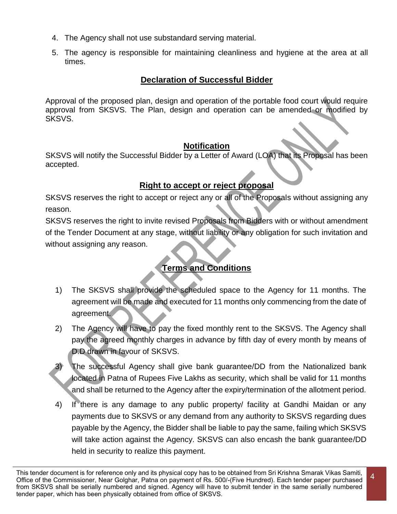- 4. The Agency shall not use substandard serving material.
- 5. The agency is responsible for maintaining cleanliness and hygiene at the area at all times.

#### **Declaration of Successful Bidder**

Approval of the proposed plan, design and operation of the portable food court would require approval from SKSVS. The Plan, design and operation can be amended or modified by SKSVS.

#### **Notification**

SKSVS will notify the Successful Bidder by a Letter of Award (LOA) that its Proposal has been accepted.

#### **Right to accept or reject proposal**

SKSVS reserves the right to accept or reject any or all of the Proposals without assigning any reason.

SKSVS reserves the right to invite revised Proposals from Bidders with or without amendment of the Tender Document at any stage, without liability or any obligation for such invitation and without assigning any reason.

### **Terms and Conditions**

- 1) The SKSVS shall provide the scheduled space to the Agency for 11 months. The agreement will be made and executed for 11 months only commencing from the date of agreement.
- 2) The Agency will have to pay the fixed monthly rent to the SKSVS. The Agency shall pay the agreed monthly charges in advance by fifth day of every month by means of D.D drawn in favour of SKSVS.
- The successful Agency shall give bank guarantee/DD from the Nationalized bank located in Patna of Rupees Five Lakhs as security, which shall be valid for 11 months and shall be returned to the Agency after the expiry/termination of the allotment period.
- 4) If there is any damage to any public property/ facility at Gandhi Maidan or any payments due to SKSVS or any demand from any authority to SKSVS regarding dues payable by the Agency, the Bidder shall be liable to pay the same, failing which SKSVS will take action against the Agency. SKSVS can also encash the bank guarantee/DD held in security to realize this payment.

This tender document is for reference only and its physical copy has to be obtained from Sri Krishna Smarak Vikas Samiti, Office of the Commissioner, Near Golghar, Patna on payment of Rs. 500/-(Five Hundred). Each tender paper purchased from SKSVS shall be serially numbered and signed. Agency will have to submit tender in the same serially numbered tender paper, which has been physically obtained from office of SKSVS.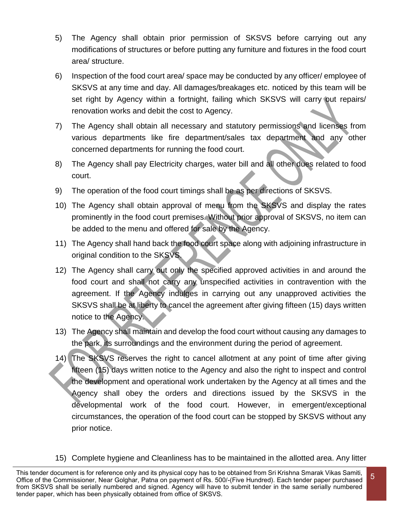- 5) The Agency shall obtain prior permission of SKSVS before carrying out any modifications of structures or before putting any furniture and fixtures in the food court area/ structure.
- 6) Inspection of the food court area/ space may be conducted by any officer/ employee of SKSVS at any time and day. All damages/breakages etc. noticed by this team will be set right by Agency within a fortnight, failing which SKSVS will carry out repairs/ renovation works and debit the cost to Agency.
- 7) The Agency shall obtain all necessary and statutory permissions and licenses from various departments like fire department/sales tax department and any other concerned departments for running the food court.
- 8) The Agency shall pay Electricity charges, water bill and all other dues related to food court.
- 9) The operation of the food court timings shall be as per directions of SKSVS.
- 10) The Agency shall obtain approval of menu from the SKSVS and display the rates prominently in the food court premises. Without prior approval of SKSVS, no item can be added to the menu and offered for sale by the Agency.
- 11) The Agency shall hand back the food court space along with adjoining infrastructure in original condition to the SKSVS.
- 12) The Agency shall carry out only the specified approved activities in and around the food court and shall not carry any unspecified activities in contravention with the agreement. If the Agency indulges in carrying out any unapproved activities the SKSVS shall be at liberty to cancel the agreement after giving fifteen (15) days written notice to the Agency.
- 13) The Agency shall maintain and develop the food court without causing any damages to the park, its surroundings and the environment during the period of agreement.
- 14) The SKSVS reserves the right to cancel allotment at any point of time after giving fifteen (15) days written notice to the Agency and also the right to inspect and control the development and operational work undertaken by the Agency at all times and the Agency shall obey the orders and directions issued by the SKSVS in the developmental work of the food court. However, in emergent/exceptional circumstances, the operation of the food court can be stopped by SKSVS without any prior notice.
- 15) Complete hygiene and Cleanliness has to be maintained in the allotted area. Any litter

This tender document is for reference only and its physical copy has to be obtained from Sri Krishna Smarak Vikas Samiti, Office of the Commissioner, Near Golghar, Patna on payment of Rs. 500/-(Five Hundred). Each tender paper purchased from SKSVS shall be serially numbered and signed. Agency will have to submit tender in the same serially numbered tender paper, which has been physically obtained from office of SKSVS.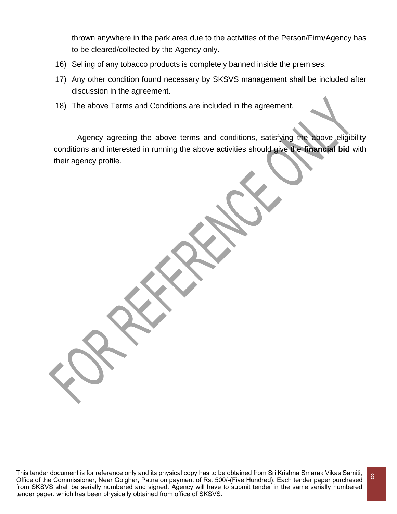thrown anywhere in the park area due to the activities of the Person/Firm/Agency has to be cleared/collected by the Agency only.

- 16) Selling of any tobacco products is completely banned inside the premises.
- 17) Any other condition found necessary by SKSVS management shall be included after discussion in the agreement.
- 18) The above Terms and Conditions are included in the agreement.

Agency agreeing the above terms and conditions, satisfying the above eligibility conditions and interested in running the above activities should give the **financial bid** with their agency profile.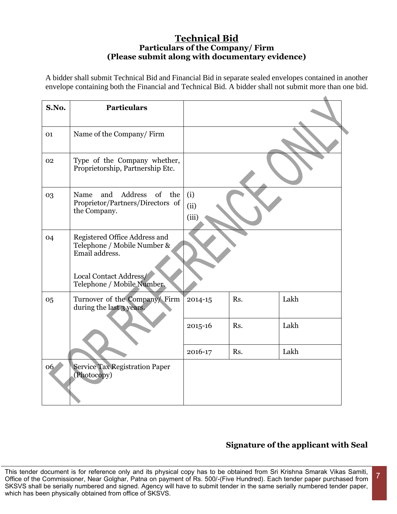#### **Technical Bid Particulars of the Company/ Firm (Please submit along with documentary evidence)**

A bidder shall submit Technical Bid and Financial Bid in separate sealed envelopes contained in another envelope containing both the Financial and Technical Bid. A bidder shall not submit more than one bid.

| S.No. | <b>Particulars</b>                                                                                       |                      |     |      |
|-------|----------------------------------------------------------------------------------------------------------|----------------------|-----|------|
| 01    | Name of the Company/Firm                                                                                 |                      |     |      |
| 02    | Type of the Company whether,<br>Proprietorship, Partnership Etc.                                         |                      |     |      |
| 03    | Address<br>and<br>of<br>the<br>Name<br>Proprietor/Partners/Directors of<br>the Company.                  | (i)<br>(ii)<br>(iii) |     |      |
| 04    | Registered Office Address and<br>Telephone / Mobile Number &<br>Email address.<br>Local Contact Address/ |                      |     |      |
|       | Telephone / Mobile Number.                                                                               |                      |     |      |
| 05    | Turnover of the Company/ Firm<br>during the last 3 years.                                                | 2014-15              | Rs. | Lakh |
|       |                                                                                                          | 2015-16              | Rs. | Lakh |
|       |                                                                                                          | 2016-17              | Rs. | Lakh |
| 06    | <b>Service Tax Registration Paper</b><br>(Photocopy)                                                     |                      |     |      |

### **Signature of the applicant with Seal**

7